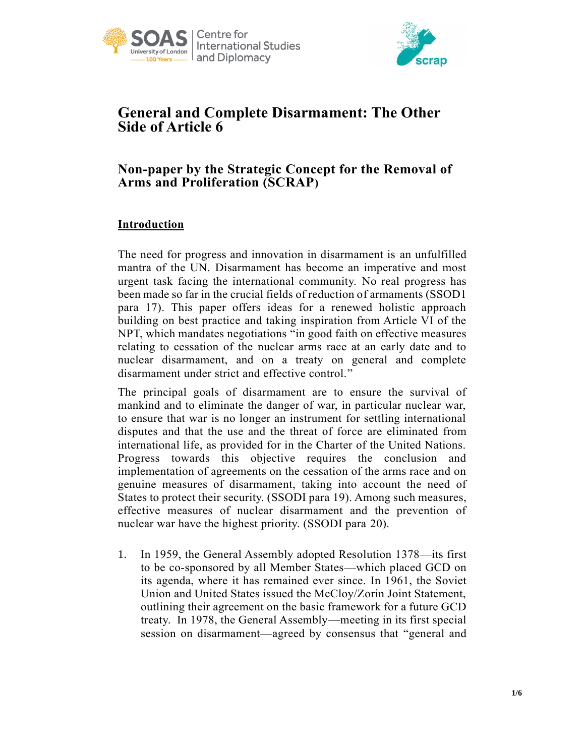



# **General and Complete Disarmament: The Other Side of Article 6**

## **Non-paper by the Strategic Concept for the Removal of Arms and Proliferation (SCRAP)**

## **Introduction**

The need for progress and innovation in disarmament is an unfulfilled mantra of the UN. Disarmament has become an imperative and most urgent task facing the international community. No real progress has been made so far in the crucial fields of reduction of armaments (SSOD1 para 17). This paper offers ideas for a renewed holistic approach building on best practice and taking inspiration from Article VI of the NPT, which mandates negotiations "in good faith on effective measures relating to cessation of the nuclear arms race at an early date and to nuclear disarmament, and on a treaty on general and complete disarmament under strict and effective control."

The principal goals of disarmament are to ensure the survival of mankind and to eliminate the danger of war, in particular nuclear war, to ensure that war is no longer an instrument for settling international disputes and that the use and the threat of force are eliminated from international life, as provided for in the Charter of the United Nations. Progress towards this objective requires the conclusion and implementation of agreements on the cessation of the arms race and on genuine measures of disarmament, taking into account the need of States to protect their security. (SSODI para 19). Among such measures, effective measures of nuclear disarmament and the prevention of nuclear war have the highest priority. (SSODI para 20).

1. In 1959, the General Assembly adopted Resolution 1378—its first to be co-sponsored by all Member States—which placed GCD on its agenda, where it has remained ever since. In 1961, the Soviet Union and United States issued the McCloy/Zorin Joint Statement, outlining their agreement on the basic framework for a future GCD treaty. In 1978, the General Assembly—meeting in its first special session on disarmament—agreed by consensus that "general and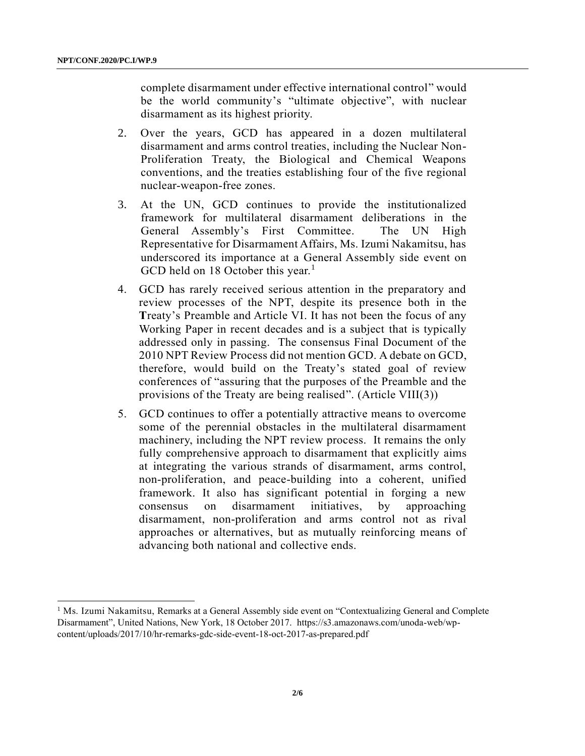l

complete disarmament under effective international control" would be the world community's "ultimate objective", with nuclear disarmament as its highest priority.

- 2. Over the years, GCD has appeared in a dozen multilateral disarmament and arms control treaties, including the Nuclear Non-Proliferation Treaty, the Biological and Chemical Weapons conventions, and the treaties establishing four of the five regional nuclear-weapon-free zones.
- 3. At the UN, GCD continues to provide the institutionalized framework for multilateral disarmament deliberations in the General Assembly's First Committee. The UN High Representative for Disarmament Affairs, Ms. Izumi Nakamitsu, has underscored its importance at a General Assembly side event on GCD held on 18 October this year.<sup>1</sup>
- 4. GCD has rarely received serious attention in the preparatory and review processes of the NPT, despite its presence both in the Treaty's Preamble and Article VI. It has not been the focus of any Working Paper in recent decades and is a subject that is typically addressed only in passing. The consensus Final Document of the 2010 NPT Review Process did not mention GCD. A debate on GCD, therefore, would build on the Treaty's stated goal of review conferences of "assuring that the purposes of the Preamble and the provisions of the Treaty are being realised". (Article VIII(3))
- 5. GCD continues to offer a potentially attractive means to overcome some of the perennial obstacles in the multilateral disarmament machinery, including the NPT review process. It remains the only fully comprehensive approach to disarmament that explicitly aims at integrating the various strands of disarmament, arms control, non-proliferation, and peace-building into a coherent, unified framework. It also has significant potential in forging a new consensus on disarmament initiatives, by approaching disarmament, non-proliferation and arms control not as rival approaches or alternatives, but as mutually reinforcing means of advancing both national and collective ends.

<sup>&</sup>lt;sup>1</sup> Ms. Izumi Nakamitsu, Remarks at a General Assembly side event on "Contextualizing General and Complete Disarmament", United Nations, New York, 18 October 2017. https://s3.amazonaws.com/unoda-web/wpcontent/uploads/2017/10/hr-remarks-gdc-side-event-18-oct-2017-as-prepared.pdf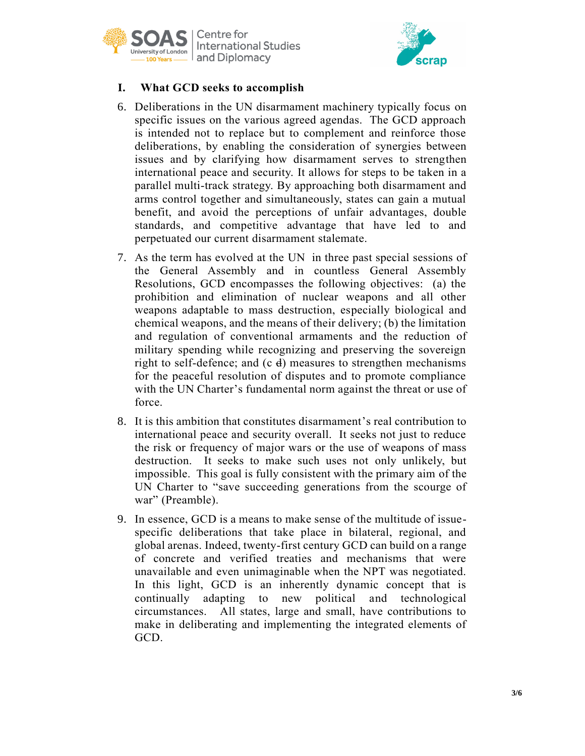



## **I. What GCD seeks to accomplish**

- 6. Deliberations in the UN disarmament machinery typically focus on specific issues on the various agreed agendas. The GCD approach is intended not to replace but to complement and reinforce those deliberations, by enabling the consideration of synergies between issues and by clarifying how disarmament serves to strengthen international peace and security. It allows for steps to be taken in a parallel multi-track strategy. By approaching both disarmament and arms control together and simultaneously, states can gain a mutual benefit, and avoid the perceptions of unfair advantages, double standards, and competitive advantage that have led to and perpetuated our current disarmament stalemate.
- 7. As the term has evolved at the UN in three past special sessions of the General Assembly and in countless General Assembly Resolutions, GCD encompasses the following objectives: (a) the prohibition and elimination of nuclear weapons and all other weapons adaptable to mass destruction, especially biological and chemical weapons, and the means of their delivery; (b) the limitation and regulation of conventional armaments and the reduction of military spending while recognizing and preserving the sovereign right to self-defence; and  $(c, d)$  measures to strengthen mechanisms for the peaceful resolution of disputes and to promote compliance with the UN Charter's fundamental norm against the threat or use of force.
- 8. It is this ambition that constitutes disarmament's real contribution to international peace and security overall. It seeks not just to reduce the risk or frequency of major wars or the use of weapons of mass destruction. It seeks to make such uses not only unlikely, but impossible. This goal is fully consistent with the primary aim of the UN Charter to "save succeeding generations from the scourge of war" (Preamble).
- 9. In essence, GCD is a means to make sense of the multitude of issuespecific deliberations that take place in bilateral, regional, and global arenas. Indeed, twenty-first century GCD can build on a range of concrete and verified treaties and mechanisms that were unavailable and even unimaginable when the NPT was negotiated. In this light, GCD is an inherently dynamic concept that is continually adapting to new political and technological circumstances. All states, large and small, have contributions to make in deliberating and implementing the integrated elements of GCD.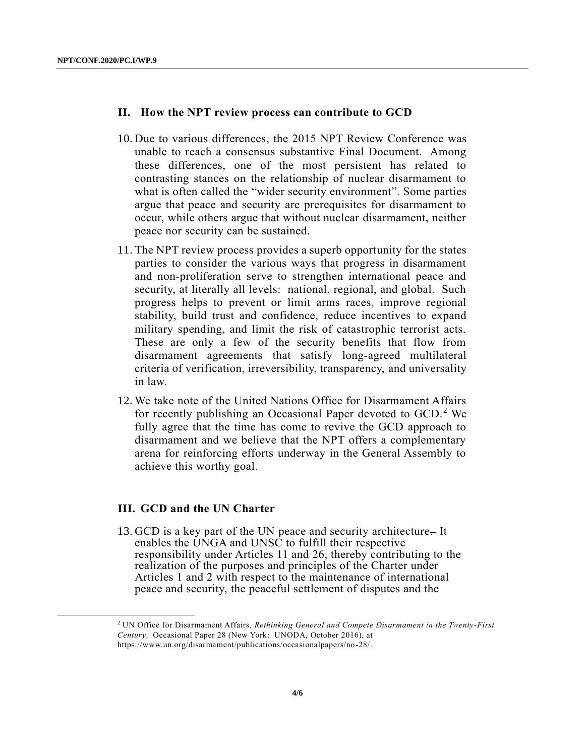l

#### **II. How the NPT review process can contribute to GCD**

- 10. Due to various differences, the 2015 NPT Review Conference was unable to reach a consensus substantive Final Document. Among these differences, one of the most persistent has related to contrasting stances on the relationship of nuclear disarmament to what is often called the "wider security environment". Some parties argue that peace and security are prerequisites for disarmament to occur, while others argue that without nuclear disarmament, neither peace nor security can be sustained.
- 11. The NPT review process provides a superb opportunity for the states parties to consider the various ways that progress in disarmament and non-proliferation serve to strengthen international peace and security, at literally all levels: national, regional, and global. Such progress helps to prevent or limit arms races, improve regional stability, build trust and confidence, reduce incentives to expand military spending, and limit the risk of catastrophic terrorist acts. These are only a few of the security benefits that flow from disarmament agreements that satisfy long-agreed multilateral criteria of verification, irreversibility, transparency, and universality in law.
- 12. We take note of the United Nations Office for Disarmament Affairs for recently publishing an Occasional Paper devoted to GCD.<sup>2</sup> We fully agree that the time has come to revive the GCD approach to disarmament and we believe that the NPT offers a complementary arena for reinforcing efforts underway in the General Assembly to achieve this worthy goal.

#### **III. GCD and the UN Charter**

13. GCD is a key part of the UN peace and security architecture- It enables the UNGA and UNSC to fulfill their respective responsibility under Articles 11 and 26, thereby contributing to the realization of the purposes and principles of the Charter under Articles 1 and 2 with respect to the maintenance of international peace and security, the peaceful settlement of disputes and the

<sup>2</sup> UN Office for Disarmament Affairs, *Rethinking General and Compete Disarmament in the Twenty-First Century*. Occasional Paper 28 (New York: UNODA, October 2016), at https://www.un.org/disarmament/publications/occasionalpapers/no-28/.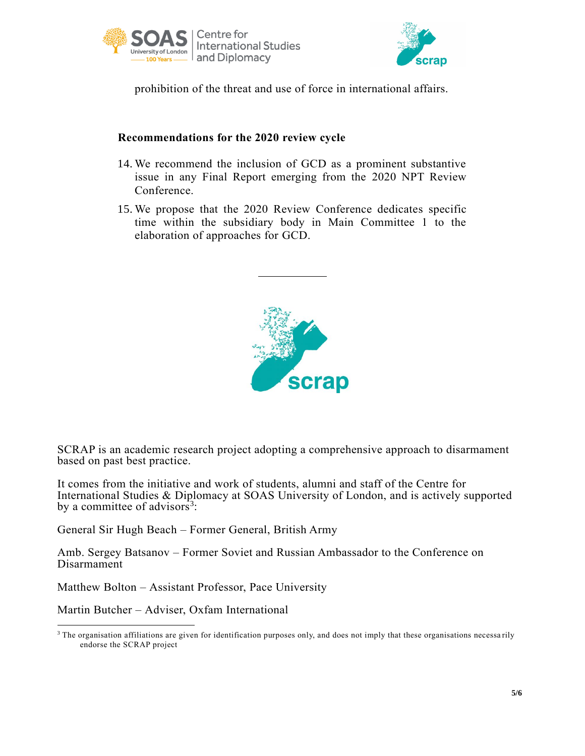



prohibition of the threat and use of force in international affairs.

## **Recommendations for the 2020 review cycle**

- 14. We recommend the inclusion of GCD as a prominent substantive issue in any Final Report emerging from the 2020 NPT Review Conference.
- 15. We propose that the 2020 Review Conference dedicates specific time within the subsidiary body in Main Committee 1 to the elaboration of approaches for GCD.



SCRAP is an academic research project adopting a comprehensive approach to disarmament based on past best practice.

It comes from the initiative and work of students, alumni and staff of the Centre for International Studies & Diplomacy at SOAS University of London, and is actively supported by a committee of advisors<sup>3</sup>:

General Sir Hugh Beach – Former General, British Army

Amb. Sergey Batsanov – Former Soviet and Russian Ambassador to the Conference on Disarmament

Matthew Bolton – Assistant Professor, Pace University

Martin Butcher – Adviser, Oxfam International

 $\overline{a}$ 

<sup>&</sup>lt;sup>3</sup> The organisation affiliations are given for identification purposes only, and does not imply that these organisations necessarily endorse the SCRAP project